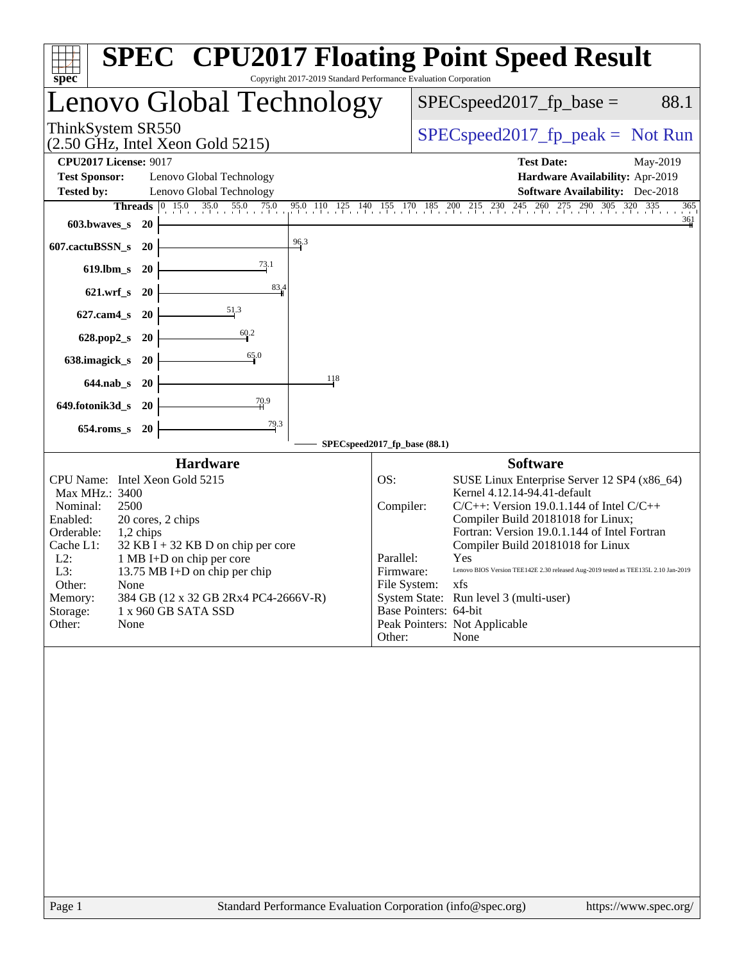| $spec^*$<br>Copyright 2017-2019 Standard Performance Evaluation Corporation                                                                                                                                                                                                                                                                                                                                       | <b>SPEC<sup>®</sup></b> CPU2017 Floating Point Speed Result                                                                                                                                                                                                                                                                                                                                                                                                                                                                                                      |
|-------------------------------------------------------------------------------------------------------------------------------------------------------------------------------------------------------------------------------------------------------------------------------------------------------------------------------------------------------------------------------------------------------------------|------------------------------------------------------------------------------------------------------------------------------------------------------------------------------------------------------------------------------------------------------------------------------------------------------------------------------------------------------------------------------------------------------------------------------------------------------------------------------------------------------------------------------------------------------------------|
| Lenovo Global Technology                                                                                                                                                                                                                                                                                                                                                                                          | $SPEC speed2017_fp\_base =$<br>88.1                                                                                                                                                                                                                                                                                                                                                                                                                                                                                                                              |
| ThinkSystem SR550<br>$(2.50 \text{ GHz}, \text{Intel Xeon Gold } 5215)$                                                                                                                                                                                                                                                                                                                                           | $SPEC speed2017_fp\_peak = Not Run$                                                                                                                                                                                                                                                                                                                                                                                                                                                                                                                              |
| <b>CPU2017 License: 9017</b><br><b>Test Sponsor:</b><br>Lenovo Global Technology<br><b>Tested by:</b><br>Lenovo Global Technology                                                                                                                                                                                                                                                                                 | <b>Test Date:</b><br>May-2019<br>Hardware Availability: Apr-2019<br><b>Software Availability:</b> Dec-2018<br><b>Threads</b> 0 15.0 35.0 55.0 75.0 95.0 110 125 140 155 170 185 200 215 230 245 260 275 290 305 320 335<br>365<br>361                                                                                                                                                                                                                                                                                                                            |
| 603.bwaves_s<br>- 20<br>$\frac{96.3}{9}$<br>607.cactuBSSN_s<br><b>20</b>                                                                                                                                                                                                                                                                                                                                          |                                                                                                                                                                                                                                                                                                                                                                                                                                                                                                                                                                  |
| <u>73.1</u><br>619.lbm_s<br>- 20<br>83,4<br>$621.wrf$ s<br>- 20                                                                                                                                                                                                                                                                                                                                                   |                                                                                                                                                                                                                                                                                                                                                                                                                                                                                                                                                                  |
| $\frac{51.3}{2}$<br>$627$ .cam $4_s$<br>-20                                                                                                                                                                                                                                                                                                                                                                       |                                                                                                                                                                                                                                                                                                                                                                                                                                                                                                                                                                  |
| 60.2<br>628.pop2_s<br><b>20</b><br>65.0<br>638.imagick_s<br><b>20</b>                                                                                                                                                                                                                                                                                                                                             |                                                                                                                                                                                                                                                                                                                                                                                                                                                                                                                                                                  |
| 118<br>644.nab_s 20                                                                                                                                                                                                                                                                                                                                                                                               |                                                                                                                                                                                                                                                                                                                                                                                                                                                                                                                                                                  |
| 70.9<br>649.fotonik3d_s 20<br>$\frac{79.3}{4}$<br>$654$ .roms_s<br><b>20</b>                                                                                                                                                                                                                                                                                                                                      |                                                                                                                                                                                                                                                                                                                                                                                                                                                                                                                                                                  |
|                                                                                                                                                                                                                                                                                                                                                                                                                   | SPECspeed2017_fp_base (88.1)                                                                                                                                                                                                                                                                                                                                                                                                                                                                                                                                     |
| <b>Hardware</b><br>CPU Name: Intel Xeon Gold 5215<br>Max MHz.: 3400<br>Nominal:<br>2500<br>Enabled:<br>20 cores, 2 chips<br>Orderable:<br>1,2 chips<br>Cache L1:<br>$32$ KB I + 32 KB D on chip per core<br>$L2$ :<br>1 MB I+D on chip per core<br>13.75 MB I+D on chip per chip<br>L3:<br>Other:<br>None<br>384 GB (12 x 32 GB 2Rx4 PC4-2666V-R)<br>Memory:<br>1 x 960 GB SATA SSD<br>Storage:<br>Other:<br>None | <b>Software</b><br>OS:<br>SUSE Linux Enterprise Server 12 SP4 (x86_64)<br>Kernel 4.12.14-94.41-default<br>Compiler:<br>$C/C++$ : Version 19.0.1.144 of Intel $C/C++$<br>Compiler Build 20181018 for Linux;<br>Fortran: Version 19.0.1.144 of Intel Fortran<br>Compiler Build 20181018 for Linux<br>Parallel:<br>Yes<br>Firmware:<br>Lenovo BIOS Version TEE142E 2.30 released Aug-2019 tested as TEE135L 2.10 Jan-2019<br>File System: xfs<br>System State: Run level 3 (multi-user)<br>Base Pointers: 64-bit<br>Peak Pointers: Not Applicable<br>Other:<br>None |
|                                                                                                                                                                                                                                                                                                                                                                                                                   |                                                                                                                                                                                                                                                                                                                                                                                                                                                                                                                                                                  |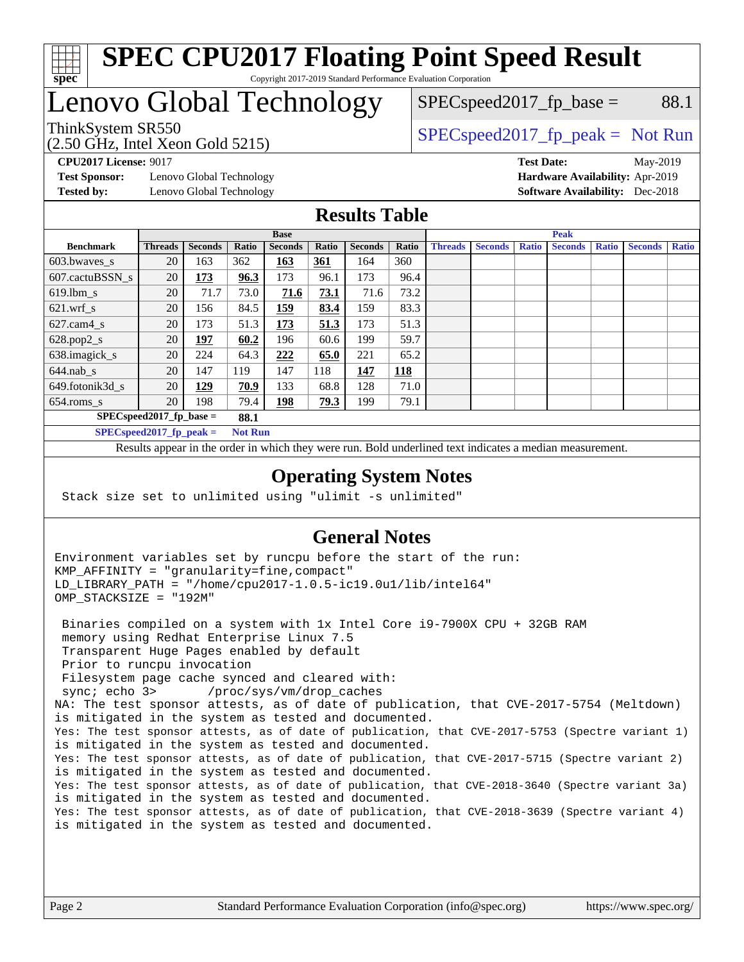

#### **[SPEC CPU2017 Floating Point Speed Result](http://www.spec.org/auto/cpu2017/Docs/result-fields.html#SPECCPU2017FloatingPointSpeedResult)** Copyright 2017-2019 Standard Performance Evaluation Corporation

# Lenovo Global Technology

ThinkSystem SR550<br>  $S$ PECspeed2017\_fp\_peak = Not Run  $SPEC speed2017_fp\_base = 88.1$ 

(2.50 GHz, Intel Xeon Gold 5215)

**[Test Sponsor:](http://www.spec.org/auto/cpu2017/Docs/result-fields.html#TestSponsor)** Lenovo Global Technology **[Hardware Availability:](http://www.spec.org/auto/cpu2017/Docs/result-fields.html#HardwareAvailability)** Apr-2019 **[Tested by:](http://www.spec.org/auto/cpu2017/Docs/result-fields.html#Testedby)** Lenovo Global Technology **[Software Availability:](http://www.spec.org/auto/cpu2017/Docs/result-fields.html#SoftwareAvailability)** Dec-2018

**[CPU2017 License:](http://www.spec.org/auto/cpu2017/Docs/result-fields.html#CPU2017License)** 9017 **[Test Date:](http://www.spec.org/auto/cpu2017/Docs/result-fields.html#TestDate)** May-2019

### **[Results Table](http://www.spec.org/auto/cpu2017/Docs/result-fields.html#ResultsTable)**

|                                              | <b>Base</b>                 |                |       |                | <b>Peak</b> |                |            |                |                |              |                |              |                |              |
|----------------------------------------------|-----------------------------|----------------|-------|----------------|-------------|----------------|------------|----------------|----------------|--------------|----------------|--------------|----------------|--------------|
| <b>Benchmark</b>                             | <b>Threads</b>              | <b>Seconds</b> | Ratio | <b>Seconds</b> | Ratio       | <b>Seconds</b> | Ratio      | <b>Threads</b> | <b>Seconds</b> | <b>Ratio</b> | <b>Seconds</b> | <b>Ratio</b> | <b>Seconds</b> | <b>Ratio</b> |
| 603.bwayes_s                                 | 20                          | 163            | 362   | 163            | 361         | 164            | 360        |                |                |              |                |              |                |              |
| 607.cactuBSSN s                              | 20                          | 173            | 96.3  | 173            | 96.1        | 173            | 96.4       |                |                |              |                |              |                |              |
| $619.$ lbm s                                 | 20                          | 71.7           | 73.0  | 71.6           | 73.1        | 71.6           | 73.2       |                |                |              |                |              |                |              |
| $621.wrf$ s                                  | 20                          | 156            | 84.5  | <u> 159</u>    | 83.4        | 159            | 83.3       |                |                |              |                |              |                |              |
| $627$ .cam4 s                                | 20                          | 173            | 51.3  | 173            | 51.3        | 173            | 51.3       |                |                |              |                |              |                |              |
| $628.pop2_s$                                 | 20                          | <u>197</u>     | 60.2  | 196            | 60.6        | 199            | 59.7       |                |                |              |                |              |                |              |
| 638.imagick_s                                | 20                          | 224            | 64.3  | 222            | 65.0        | 221            | 65.2       |                |                |              |                |              |                |              |
| $644$ .nab s                                 | 20                          | 147            | 119   | 147            | 118         | 147            | <b>118</b> |                |                |              |                |              |                |              |
| 649.fotonik3d_s                              | 20                          | 129            | 70.9  | 133            | 68.8        | 128            | 71.0       |                |                |              |                |              |                |              |
| $654$ .roms_s                                | 20                          | 198            | 79.4  | 198            | 79.3        | 199            | 79.1       |                |                |              |                |              |                |              |
|                                              | $SPEC speed2017_fp\_base =$ |                | 88.1  |                |             |                |            |                |                |              |                |              |                |              |
| SPECspeed 2017 fp peak $=$<br><b>Not Run</b> |                             |                |       |                |             |                |            |                |                |              |                |              |                |              |

Results appear in the [order in which they were run.](http://www.spec.org/auto/cpu2017/Docs/result-fields.html#RunOrder) Bold underlined text [indicates a median measurement](http://www.spec.org/auto/cpu2017/Docs/result-fields.html#Median).

#### **[Operating System Notes](http://www.spec.org/auto/cpu2017/Docs/result-fields.html#OperatingSystemNotes)**

Stack size set to unlimited using "ulimit -s unlimited"

### **[General Notes](http://www.spec.org/auto/cpu2017/Docs/result-fields.html#GeneralNotes)**

Environment variables set by runcpu before the start of the run: KMP\_AFFINITY = "granularity=fine,compact" LD\_LIBRARY\_PATH = "/home/cpu2017-1.0.5-ic19.0u1/lib/intel64" OMP\_STACKSIZE = "192M"

 Binaries compiled on a system with 1x Intel Core i9-7900X CPU + 32GB RAM memory using Redhat Enterprise Linux 7.5 Transparent Huge Pages enabled by default Prior to runcpu invocation Filesystem page cache synced and cleared with: sync; echo 3> /proc/sys/vm/drop\_caches NA: The test sponsor attests, as of date of publication, that CVE-2017-5754 (Meltdown) is mitigated in the system as tested and documented. Yes: The test sponsor attests, as of date of publication, that CVE-2017-5753 (Spectre variant 1) is mitigated in the system as tested and documented. Yes: The test sponsor attests, as of date of publication, that CVE-2017-5715 (Spectre variant 2) is mitigated in the system as tested and documented. Yes: The test sponsor attests, as of date of publication, that CVE-2018-3640 (Spectre variant 3a) is mitigated in the system as tested and documented. Yes: The test sponsor attests, as of date of publication, that CVE-2018-3639 (Spectre variant 4) is mitigated in the system as tested and documented.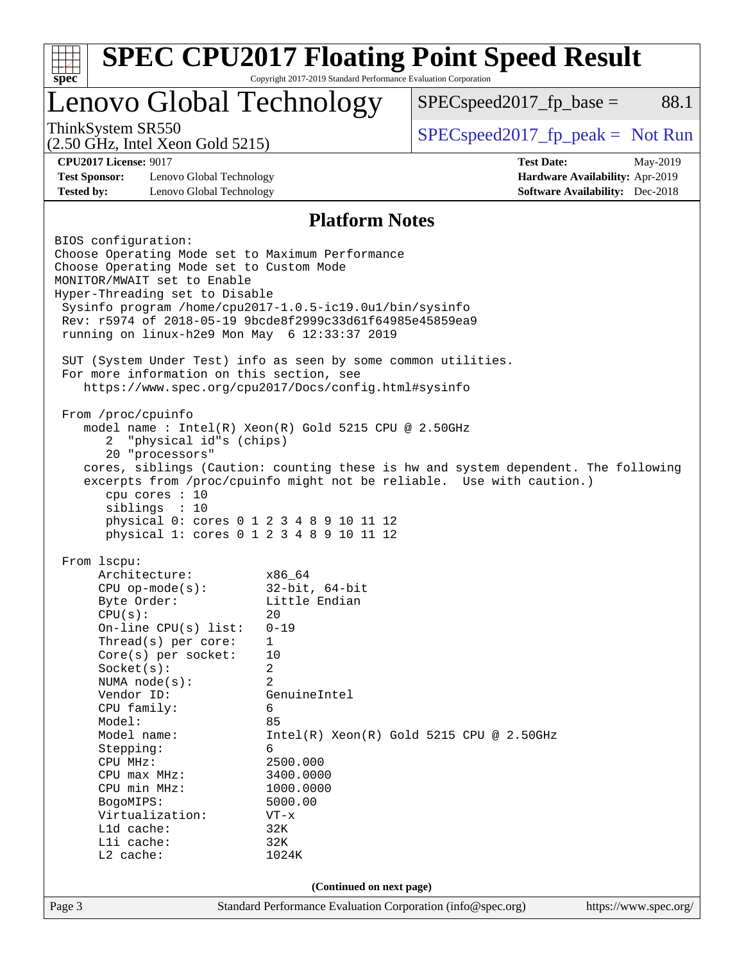| Lenovo Global Technology                                                                                                                                                                                                                                                                                                                                       |                          | $SPEC speed2017_fp\_base =$                                                                                                                                 | 88.1                                   |
|----------------------------------------------------------------------------------------------------------------------------------------------------------------------------------------------------------------------------------------------------------------------------------------------------------------------------------------------------------------|--------------------------|-------------------------------------------------------------------------------------------------------------------------------------------------------------|----------------------------------------|
| ThinkSystem SR550<br>$(2.50 \text{ GHz}, \text{Intel Xeon Gold } 5215)$                                                                                                                                                                                                                                                                                        |                          | $SPEC speed2017fr peak = Not Run$                                                                                                                           |                                        |
| <b>CPU2017 License: 9017</b>                                                                                                                                                                                                                                                                                                                                   |                          | <b>Test Date:</b>                                                                                                                                           | May-2019                               |
| <b>Test Sponsor:</b><br>Lenovo Global Technology                                                                                                                                                                                                                                                                                                               |                          |                                                                                                                                                             | Hardware Availability: Apr-2019        |
| <b>Tested by:</b><br>Lenovo Global Technology                                                                                                                                                                                                                                                                                                                  |                          |                                                                                                                                                             | <b>Software Availability:</b> Dec-2018 |
|                                                                                                                                                                                                                                                                                                                                                                | <b>Platform Notes</b>    |                                                                                                                                                             |                                        |
| BIOS configuration:<br>Choose Operating Mode set to Maximum Performance<br>Choose Operating Mode set to Custom Mode<br>MONITOR/MWAIT set to Enable<br>Hyper-Threading set to Disable<br>Sysinfo program /home/cpu2017-1.0.5-ic19.0ul/bin/sysinfo<br>Rev: r5974 of 2018-05-19 9bcde8f2999c33d61f64985e45859ea9<br>running on linux-h2e9 Mon May 6 12:33:37 2019 |                          |                                                                                                                                                             |                                        |
| SUT (System Under Test) info as seen by some common utilities.<br>For more information on this section, see<br>https://www.spec.org/cpu2017/Docs/config.html#sysinfo                                                                                                                                                                                           |                          |                                                                                                                                                             |                                        |
| "physical id"s (chips)<br>2<br>20 "processors"<br>cpu cores $: 10$<br>sibling: 10<br>physical 0: cores 0 1 2 3 4 8 9 10 11 12<br>physical 1: cores 0 1 2 3 4 8 9 10 11 12                                                                                                                                                                                      |                          | cores, siblings (Caution: counting these is hw and system dependent. The following<br>excerpts from /proc/cpuinfo might not be reliable. Use with caution.) |                                        |
| From 1scpu:                                                                                                                                                                                                                                                                                                                                                    |                          |                                                                                                                                                             |                                        |
| Architecture:                                                                                                                                                                                                                                                                                                                                                  | x86_64                   |                                                                                                                                                             |                                        |
| $CPU$ op-mode( $s$ ):                                                                                                                                                                                                                                                                                                                                          | $32$ -bit, $64$ -bit     |                                                                                                                                                             |                                        |
| Byte Order:<br>CPU(s):                                                                                                                                                                                                                                                                                                                                         | Little Endian<br>20      |                                                                                                                                                             |                                        |
| On-line CPU(s) list:                                                                                                                                                                                                                                                                                                                                           | $0 - 19$                 |                                                                                                                                                             |                                        |
| Thread(s) per core:                                                                                                                                                                                                                                                                                                                                            | $\mathbf{1}$             |                                                                                                                                                             |                                        |
| $Core(s)$ per socket:                                                                                                                                                                                                                                                                                                                                          | 10                       |                                                                                                                                                             |                                        |
| Socket(s):<br>NUMA $node(s)$ :                                                                                                                                                                                                                                                                                                                                 | 2<br>2                   |                                                                                                                                                             |                                        |
| Vendor ID:                                                                                                                                                                                                                                                                                                                                                     | GenuineIntel             |                                                                                                                                                             |                                        |
| CPU family:                                                                                                                                                                                                                                                                                                                                                    | 6                        |                                                                                                                                                             |                                        |
|                                                                                                                                                                                                                                                                                                                                                                |                          |                                                                                                                                                             |                                        |
| Model:                                                                                                                                                                                                                                                                                                                                                         | 85                       |                                                                                                                                                             |                                        |
| Model name:                                                                                                                                                                                                                                                                                                                                                    |                          | $Intel(R) Xeon(R) Gold 5215 CPU @ 2.50GHz$                                                                                                                  |                                        |
| Stepping:<br>CPU MHz:                                                                                                                                                                                                                                                                                                                                          | 6<br>2500.000            |                                                                                                                                                             |                                        |
| $CPU$ max $MHz:$                                                                                                                                                                                                                                                                                                                                               | 3400.0000                |                                                                                                                                                             |                                        |
| CPU min MHz:                                                                                                                                                                                                                                                                                                                                                   | 1000.0000                |                                                                                                                                                             |                                        |
| BogoMIPS:                                                                                                                                                                                                                                                                                                                                                      | 5000.00<br>$VT - x$      |                                                                                                                                                             |                                        |
| Virtualization:<br>L1d cache:                                                                                                                                                                                                                                                                                                                                  | 32K                      |                                                                                                                                                             |                                        |
| Lli cache:                                                                                                                                                                                                                                                                                                                                                     | 32K                      |                                                                                                                                                             |                                        |
| L2 cache:                                                                                                                                                                                                                                                                                                                                                      | 1024K                    |                                                                                                                                                             |                                        |
|                                                                                                                                                                                                                                                                                                                                                                | (Continued on next page) |                                                                                                                                                             |                                        |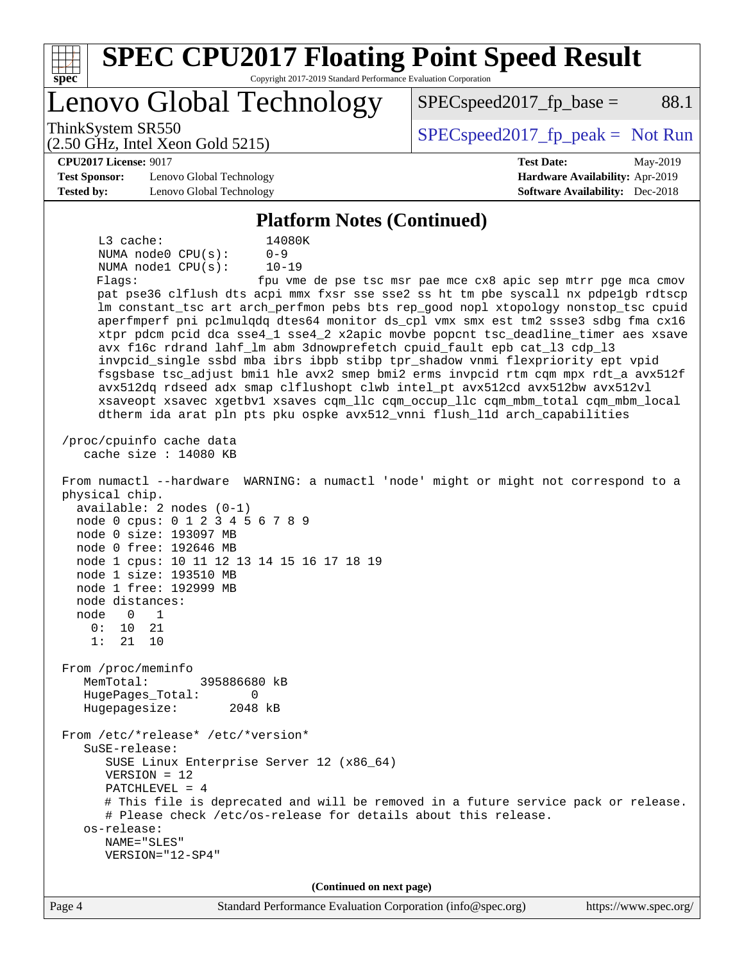| <b>SPEC CPU2017 Floating Point Speed Result</b><br>spec                                                                                                                                                                                                                                                                                                                                                                                                                                                                                                                                                                                                                                                                                                                                                                                                                                                                                                                                                                                                                                                                                                                                                                                                                                                                                                                                                                                                                                                                                                                                                                                                                                                                                                                                                                                                                                                        | Copyright 2017-2019 Standard Performance Evaluation Corporation |                                                               |                                                                                       |
|----------------------------------------------------------------------------------------------------------------------------------------------------------------------------------------------------------------------------------------------------------------------------------------------------------------------------------------------------------------------------------------------------------------------------------------------------------------------------------------------------------------------------------------------------------------------------------------------------------------------------------------------------------------------------------------------------------------------------------------------------------------------------------------------------------------------------------------------------------------------------------------------------------------------------------------------------------------------------------------------------------------------------------------------------------------------------------------------------------------------------------------------------------------------------------------------------------------------------------------------------------------------------------------------------------------------------------------------------------------------------------------------------------------------------------------------------------------------------------------------------------------------------------------------------------------------------------------------------------------------------------------------------------------------------------------------------------------------------------------------------------------------------------------------------------------------------------------------------------------------------------------------------------------|-----------------------------------------------------------------|---------------------------------------------------------------|---------------------------------------------------------------------------------------|
| Lenovo Global Technology                                                                                                                                                                                                                                                                                                                                                                                                                                                                                                                                                                                                                                                                                                                                                                                                                                                                                                                                                                                                                                                                                                                                                                                                                                                                                                                                                                                                                                                                                                                                                                                                                                                                                                                                                                                                                                                                                       |                                                                 | $SPEC speed2017fr base =$                                     | 88.1                                                                                  |
| ThinkSystem SR550<br>$(2.50 \text{ GHz}, \text{Intel Xeon Gold } 5215)$                                                                                                                                                                                                                                                                                                                                                                                                                                                                                                                                                                                                                                                                                                                                                                                                                                                                                                                                                                                                                                                                                                                                                                                                                                                                                                                                                                                                                                                                                                                                                                                                                                                                                                                                                                                                                                        |                                                                 | $SPEC speed2017fr peak = Not Run$                             |                                                                                       |
| <b>CPU2017 License: 9017</b><br><b>Test Sponsor:</b><br>Lenovo Global Technology<br><b>Tested by:</b><br>Lenovo Global Technology                                                                                                                                                                                                                                                                                                                                                                                                                                                                                                                                                                                                                                                                                                                                                                                                                                                                                                                                                                                                                                                                                                                                                                                                                                                                                                                                                                                                                                                                                                                                                                                                                                                                                                                                                                              |                                                                 | <b>Test Date:</b>                                             | May-2019<br>Hardware Availability: Apr-2019<br><b>Software Availability:</b> Dec-2018 |
|                                                                                                                                                                                                                                                                                                                                                                                                                                                                                                                                                                                                                                                                                                                                                                                                                                                                                                                                                                                                                                                                                                                                                                                                                                                                                                                                                                                                                                                                                                                                                                                                                                                                                                                                                                                                                                                                                                                | <b>Platform Notes (Continued)</b>                               |                                                               |                                                                                       |
| L3 cache:<br>$0 - 9$<br>NUMA node0 CPU(s):<br>NUMA nodel CPU(s):<br>Flags:<br>pat pse36 clflush dts acpi mmx fxsr sse sse2 ss ht tm pbe syscall nx pdpelgb rdtscp<br>lm constant_tsc art arch_perfmon pebs bts rep_good nopl xtopology nonstop_tsc cpuid<br>aperfmperf pni pclmulqdq dtes64 monitor ds_cpl vmx smx est tm2 ssse3 sdbg fma cx16<br>xtpr pdcm pcid dca sse4_1 sse4_2 x2apic movbe popcnt tsc_deadline_timer aes xsave<br>avx f16c rdrand lahf_lm abm 3dnowprefetch cpuid_fault epb cat_13 cdp_13<br>invpcid_single ssbd mba ibrs ibpb stibp tpr_shadow vnmi flexpriority ept vpid<br>fsgsbase tsc_adjust bmil hle avx2 smep bmi2 erms invpcid rtm cqm mpx rdt_a avx512f<br>avx512dq rdseed adx smap clflushopt clwb intel_pt avx512cd avx512bw avx512vl<br>xsaveopt xsavec xgetbvl xsaves cqm_llc cqm_occup_llc cqm_mbm_total cqm_mbm_local<br>dtherm ida arat pln pts pku ospke avx512_vnni flush_lld arch_capabilities<br>/proc/cpuinfo cache data<br>cache size $: 14080$ KB<br>From numactl --hardware WARNING: a numactl 'node' might or might not correspond to a<br>physical chip.<br>$available: 2 nodes (0-1)$<br>node 0 cpus: 0 1 2 3 4 5 6 7 8 9<br>node 0 size: 193097 MB<br>node 0 free: 192646 MB<br>node 1 cpus: 10 11 12 13 14 15 16 17 18 19<br>node 1 size: 193510 MB<br>node 1 free: 192999 MB<br>node distances:<br>node<br>$\overline{0}$<br>$\overline{\phantom{1}}$<br>0:<br>10<br>21<br>1:<br>21 10<br>From /proc/meminfo<br>MemTotal:<br>395886680 kB<br>HugePages_Total:<br>$\Omega$<br>Hugepagesize:<br>2048 kB<br>From /etc/*release* /etc/*version*<br>$S$ uSE-release:<br>SUSE Linux Enterprise Server 12 (x86_64)<br>$VERSION = 12$<br>PATCHLEVEL = $4$<br># This file is deprecated and will be removed in a future service pack or release.<br># Please check /etc/os-release for details about this release.<br>os-release:<br>NAME="SLES"<br>VERSION="12-SP4" | 14080K<br>$10 - 19$                                             | fpu vme de pse tsc msr pae mce cx8 apic sep mtrr pge mca cmov |                                                                                       |
|                                                                                                                                                                                                                                                                                                                                                                                                                                                                                                                                                                                                                                                                                                                                                                                                                                                                                                                                                                                                                                                                                                                                                                                                                                                                                                                                                                                                                                                                                                                                                                                                                                                                                                                                                                                                                                                                                                                | (Continued on next page)                                        |                                                               |                                                                                       |
| Page 4                                                                                                                                                                                                                                                                                                                                                                                                                                                                                                                                                                                                                                                                                                                                                                                                                                                                                                                                                                                                                                                                                                                                                                                                                                                                                                                                                                                                                                                                                                                                                                                                                                                                                                                                                                                                                                                                                                         | Standard Performance Evaluation Corporation (info@spec.org)     |                                                               | https://www.spec.org/                                                                 |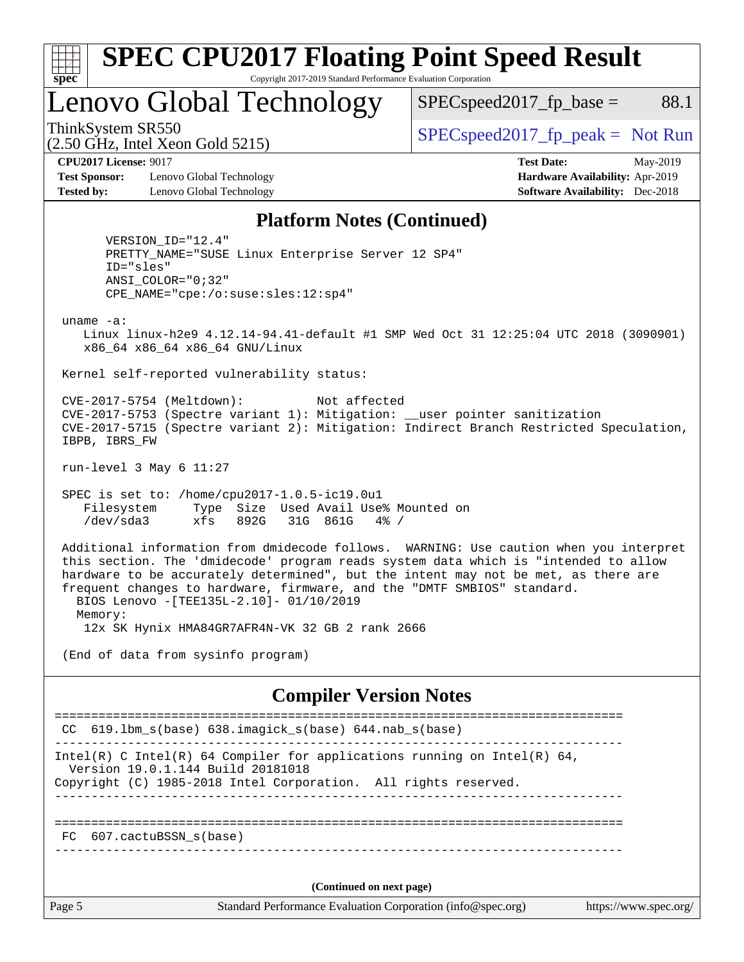

 $SPEC speed2017<sub>fp</sub> base = 88.1$ 

(2.50 GHz, Intel Xeon Gold 5215)

ThinkSystem SR550<br>  $S$ PECspeed2017\_fp\_peak = Not Run

**[Test Sponsor:](http://www.spec.org/auto/cpu2017/Docs/result-fields.html#TestSponsor)** Lenovo Global Technology **[Hardware Availability:](http://www.spec.org/auto/cpu2017/Docs/result-fields.html#HardwareAvailability)** Apr-2019 **[Tested by:](http://www.spec.org/auto/cpu2017/Docs/result-fields.html#Testedby)** Lenovo Global Technology **[Software Availability:](http://www.spec.org/auto/cpu2017/Docs/result-fields.html#SoftwareAvailability)** Dec-2018

**[CPU2017 License:](http://www.spec.org/auto/cpu2017/Docs/result-fields.html#CPU2017License)** 9017 **[Test Date:](http://www.spec.org/auto/cpu2017/Docs/result-fields.html#TestDate)** May-2019

#### **[Platform Notes \(Continued\)](http://www.spec.org/auto/cpu2017/Docs/result-fields.html#PlatformNotes)**

 VERSION\_ID="12.4" PRETTY\_NAME="SUSE Linux Enterprise Server 12 SP4" ID="sles" ANSI\_COLOR="0;32" CPE\_NAME="cpe:/o:suse:sles:12:sp4"

uname -a:

 Linux linux-h2e9 4.12.14-94.41-default #1 SMP Wed Oct 31 12:25:04 UTC 2018 (3090901) x86\_64 x86\_64 x86\_64 GNU/Linux

Kernel self-reported vulnerability status:

 CVE-2017-5754 (Meltdown): Not affected CVE-2017-5753 (Spectre variant 1): Mitigation: \_\_user pointer sanitization CVE-2017-5715 (Spectre variant 2): Mitigation: Indirect Branch Restricted Speculation, IBPB, IBRS\_FW

run-level 3 May 6 11:27

 SPEC is set to: /home/cpu2017-1.0.5-ic19.0u1 Filesystem Type Size Used Avail Use% Mounted on /dev/sda3 xfs 892G 31G 861G 4% /

 Additional information from dmidecode follows. WARNING: Use caution when you interpret this section. The 'dmidecode' program reads system data which is "intended to allow hardware to be accurately determined", but the intent may not be met, as there are frequent changes to hardware, firmware, and the "DMTF SMBIOS" standard. BIOS Lenovo -[TEE135L-2.10]- 01/10/2019 Memory:

12x SK Hynix HMA84GR7AFR4N-VK 32 GB 2 rank 2666

(End of data from sysinfo program)

**[Compiler Version Notes](http://www.spec.org/auto/cpu2017/Docs/result-fields.html#CompilerVersionNotes)**

Page 5 Standard Performance Evaluation Corporation [\(info@spec.org\)](mailto:info@spec.org) <https://www.spec.org/> ============================================================================== CC 619.lbm\_s(base) 638.imagick\_s(base) 644.nab\_s(base) ------------------------------------------------------------------------------ Intel(R) C Intel(R) 64 Compiler for applications running on Intel(R)  $64$ , Version 19.0.1.144 Build 20181018 Copyright (C) 1985-2018 Intel Corporation. All rights reserved. ------------------------------------------------------------------------------ ============================================================================== FC 607.cactuBSSN\_s(base) ------------------------------------------------------------------------------ **(Continued on next page)**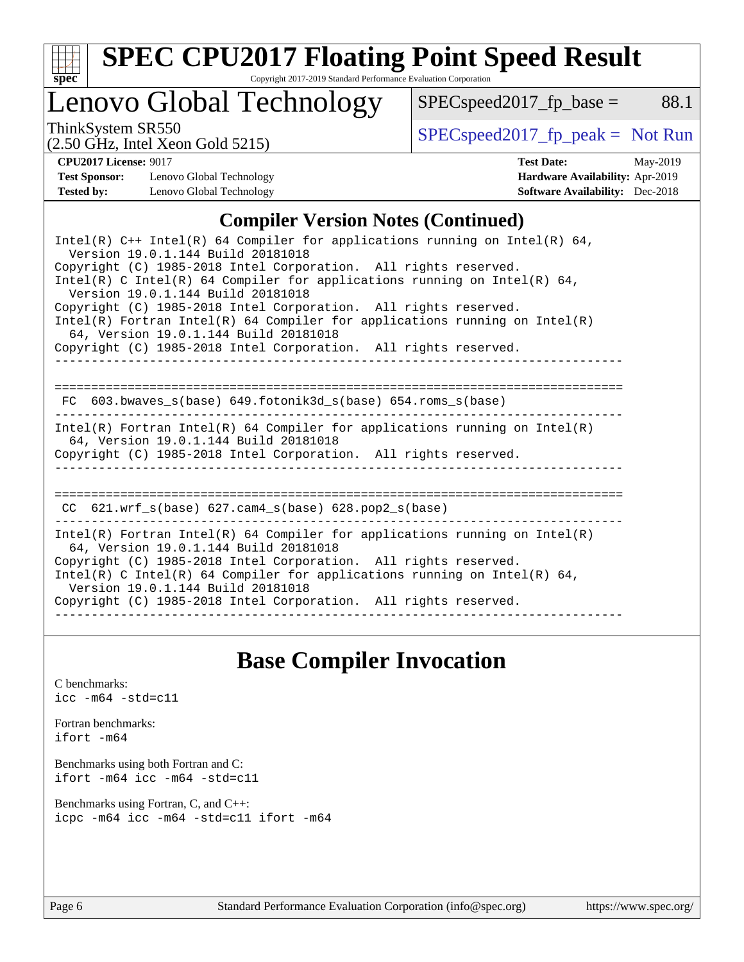

# **[SPEC CPU2017 Floating Point Speed Result](http://www.spec.org/auto/cpu2017/Docs/result-fields.html#SPECCPU2017FloatingPointSpeedResult)**

Copyright 2017-2019 Standard Performance Evaluation Corporation

## Lenovo Global Technology

ThinkSystem SR550<br>  $\begin{array}{r} \text{SPEC speed2017\_fp\_peak = Not Run} \\ \text{SPEC speed2017\_fp\_peak = Not Run} \end{array}$ 

 $SPEC speed2017_fp\_base = 88.1$ 

(2.50 GHz, Intel Xeon Gold 5215)

**[CPU2017 License:](http://www.spec.org/auto/cpu2017/Docs/result-fields.html#CPU2017License)** 9017 **[Test Date:](http://www.spec.org/auto/cpu2017/Docs/result-fields.html#TestDate)** May-2019 **[Test Sponsor:](http://www.spec.org/auto/cpu2017/Docs/result-fields.html#TestSponsor)** Lenovo Global Technology **[Hardware Availability:](http://www.spec.org/auto/cpu2017/Docs/result-fields.html#HardwareAvailability)** Apr-2019 **[Tested by:](http://www.spec.org/auto/cpu2017/Docs/result-fields.html#Testedby)** Lenovo Global Technology **[Software Availability:](http://www.spec.org/auto/cpu2017/Docs/result-fields.html#SoftwareAvailability)** Dec-2018

### **[Compiler Version Notes \(Continued\)](http://www.spec.org/auto/cpu2017/Docs/result-fields.html#CompilerVersionNotes)**

| Intel(R) $C++$ Intel(R) 64 Compiler for applications running on Intel(R) 64,<br>Version 19.0.1.144 Build 20181018                                                                                                                                                                                                                                                              |
|--------------------------------------------------------------------------------------------------------------------------------------------------------------------------------------------------------------------------------------------------------------------------------------------------------------------------------------------------------------------------------|
| Copyright (C) 1985-2018 Intel Corporation. All rights reserved.<br>Intel(R) C Intel(R) 64 Compiler for applications running on Intel(R) 64,<br>Version 19.0.1.144 Build 20181018                                                                                                                                                                                               |
| Copyright (C) 1985-2018 Intel Corporation. All rights reserved.<br>$Intel(R)$ Fortran Intel(R) 64 Compiler for applications running on Intel(R)<br>64, Version 19.0.1.144 Build 20181018                                                                                                                                                                                       |
| Copyright (C) 1985-2018 Intel Corporation. All rights reserved.                                                                                                                                                                                                                                                                                                                |
| FC 603.bwaves s(base) 649.fotonik3d s(base) 654.roms s(base)                                                                                                                                                                                                                                                                                                                   |
| $Intel(R)$ Fortran Intel(R) 64 Compiler for applications running on Intel(R)<br>64, Version 19.0.1.144 Build 20181018<br>Copyright (C) 1985-2018 Intel Corporation. All rights reserved.                                                                                                                                                                                       |
| CC 621.wrf_s(base) 627.cam4_s(base) 628.pop2_s(base)                                                                                                                                                                                                                                                                                                                           |
| $Intel(R)$ Fortran Intel(R) 64 Compiler for applications running on Intel(R)<br>64, Version 19.0.1.144 Build 20181018<br>Copyright (C) 1985-2018 Intel Corporation. All rights reserved.<br>$Intel(R)$ C Intel(R) 64 Compiler for applications running on Intel(R) 64,<br>Version 19.0.1.144 Build 20181018<br>Copyright (C) 1985-2018 Intel Corporation. All rights reserved. |

### **[Base Compiler Invocation](http://www.spec.org/auto/cpu2017/Docs/result-fields.html#BaseCompilerInvocation)**

[C benchmarks](http://www.spec.org/auto/cpu2017/Docs/result-fields.html#Cbenchmarks): [icc -m64 -std=c11](http://www.spec.org/cpu2017/results/res2019q3/cpu2017-20190708-15979.flags.html#user_CCbase_intel_icc_64bit_c11_33ee0cdaae7deeeab2a9725423ba97205ce30f63b9926c2519791662299b76a0318f32ddfffdc46587804de3178b4f9328c46fa7c2b0cd779d7a61945c91cd35)

[Fortran benchmarks](http://www.spec.org/auto/cpu2017/Docs/result-fields.html#Fortranbenchmarks): [ifort -m64](http://www.spec.org/cpu2017/results/res2019q3/cpu2017-20190708-15979.flags.html#user_FCbase_intel_ifort_64bit_24f2bb282fbaeffd6157abe4f878425411749daecae9a33200eee2bee2fe76f3b89351d69a8130dd5949958ce389cf37ff59a95e7a40d588e8d3a57e0c3fd751)

[Benchmarks using both Fortran and C](http://www.spec.org/auto/cpu2017/Docs/result-fields.html#BenchmarksusingbothFortranandC): [ifort -m64](http://www.spec.org/cpu2017/results/res2019q3/cpu2017-20190708-15979.flags.html#user_CC_FCbase_intel_ifort_64bit_24f2bb282fbaeffd6157abe4f878425411749daecae9a33200eee2bee2fe76f3b89351d69a8130dd5949958ce389cf37ff59a95e7a40d588e8d3a57e0c3fd751) [icc -m64 -std=c11](http://www.spec.org/cpu2017/results/res2019q3/cpu2017-20190708-15979.flags.html#user_CC_FCbase_intel_icc_64bit_c11_33ee0cdaae7deeeab2a9725423ba97205ce30f63b9926c2519791662299b76a0318f32ddfffdc46587804de3178b4f9328c46fa7c2b0cd779d7a61945c91cd35)

[Benchmarks using Fortran, C, and C++:](http://www.spec.org/auto/cpu2017/Docs/result-fields.html#BenchmarksusingFortranCandCXX) [icpc -m64](http://www.spec.org/cpu2017/results/res2019q3/cpu2017-20190708-15979.flags.html#user_CC_CXX_FCbase_intel_icpc_64bit_4ecb2543ae3f1412ef961e0650ca070fec7b7afdcd6ed48761b84423119d1bf6bdf5cad15b44d48e7256388bc77273b966e5eb805aefd121eb22e9299b2ec9d9) [icc -m64 -std=c11](http://www.spec.org/cpu2017/results/res2019q3/cpu2017-20190708-15979.flags.html#user_CC_CXX_FCbase_intel_icc_64bit_c11_33ee0cdaae7deeeab2a9725423ba97205ce30f63b9926c2519791662299b76a0318f32ddfffdc46587804de3178b4f9328c46fa7c2b0cd779d7a61945c91cd35) [ifort -m64](http://www.spec.org/cpu2017/results/res2019q3/cpu2017-20190708-15979.flags.html#user_CC_CXX_FCbase_intel_ifort_64bit_24f2bb282fbaeffd6157abe4f878425411749daecae9a33200eee2bee2fe76f3b89351d69a8130dd5949958ce389cf37ff59a95e7a40d588e8d3a57e0c3fd751)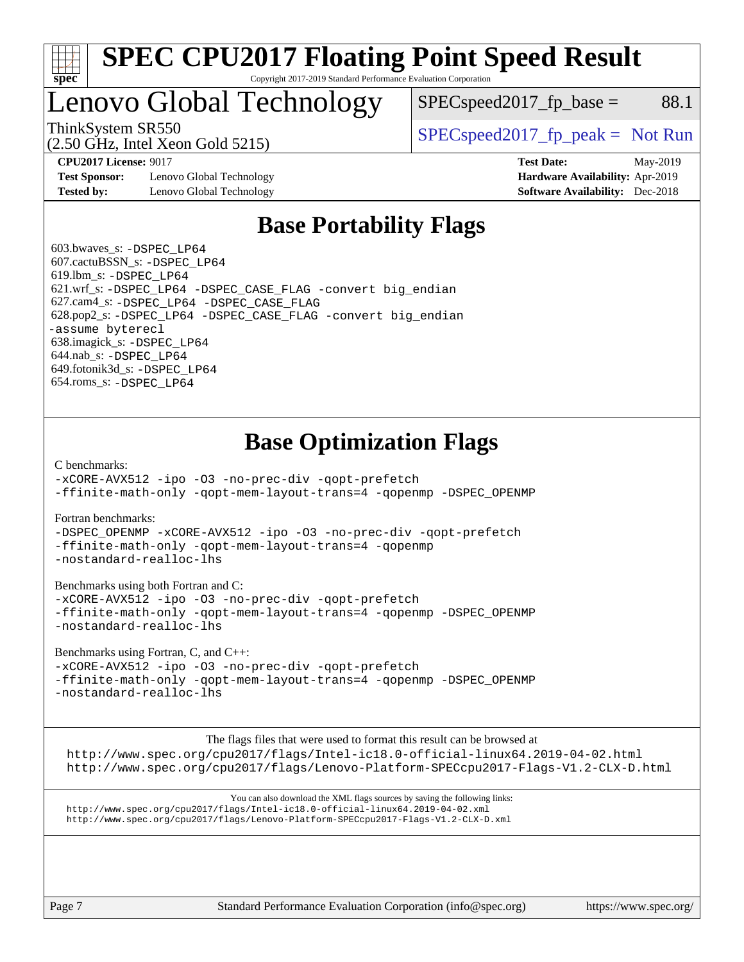

#### **[SPEC CPU2017 Floating Point Speed Result](http://www.spec.org/auto/cpu2017/Docs/result-fields.html#SPECCPU2017FloatingPointSpeedResult)** Copyright 2017-2019 Standard Performance Evaluation Corporation

## Lenovo Global Technology

 $SPEC speed2017<sub>fp</sub> base = 88.1$ 

(2.50 GHz, Intel Xeon Gold 5215)

ThinkSystem SR550  $SPEC speed2017$  [p\_peak = Not Run

**[Test Sponsor:](http://www.spec.org/auto/cpu2017/Docs/result-fields.html#TestSponsor)** Lenovo Global Technology **[Hardware Availability:](http://www.spec.org/auto/cpu2017/Docs/result-fields.html#HardwareAvailability)** Apr-2019 **[Tested by:](http://www.spec.org/auto/cpu2017/Docs/result-fields.html#Testedby)** Lenovo Global Technology **[Software Availability:](http://www.spec.org/auto/cpu2017/Docs/result-fields.html#SoftwareAvailability)** Dec-2018

**[CPU2017 License:](http://www.spec.org/auto/cpu2017/Docs/result-fields.html#CPU2017License)** 9017 **[Test Date:](http://www.spec.org/auto/cpu2017/Docs/result-fields.html#TestDate)** May-2019

### **[Base Portability Flags](http://www.spec.org/auto/cpu2017/Docs/result-fields.html#BasePortabilityFlags)**

 603.bwaves\_s: [-DSPEC\\_LP64](http://www.spec.org/cpu2017/results/res2019q3/cpu2017-20190708-15979.flags.html#suite_basePORTABILITY603_bwaves_s_DSPEC_LP64) 607.cactuBSSN\_s: [-DSPEC\\_LP64](http://www.spec.org/cpu2017/results/res2019q3/cpu2017-20190708-15979.flags.html#suite_basePORTABILITY607_cactuBSSN_s_DSPEC_LP64) 619.lbm\_s: [-DSPEC\\_LP64](http://www.spec.org/cpu2017/results/res2019q3/cpu2017-20190708-15979.flags.html#suite_basePORTABILITY619_lbm_s_DSPEC_LP64) 621.wrf\_s: [-DSPEC\\_LP64](http://www.spec.org/cpu2017/results/res2019q3/cpu2017-20190708-15979.flags.html#suite_basePORTABILITY621_wrf_s_DSPEC_LP64) [-DSPEC\\_CASE\\_FLAG](http://www.spec.org/cpu2017/results/res2019q3/cpu2017-20190708-15979.flags.html#b621.wrf_s_baseCPORTABILITY_DSPEC_CASE_FLAG) [-convert big\\_endian](http://www.spec.org/cpu2017/results/res2019q3/cpu2017-20190708-15979.flags.html#user_baseFPORTABILITY621_wrf_s_convert_big_endian_c3194028bc08c63ac5d04de18c48ce6d347e4e562e8892b8bdbdc0214820426deb8554edfa529a3fb25a586e65a3d812c835984020483e7e73212c4d31a38223) 627.cam4\_s: [-DSPEC\\_LP64](http://www.spec.org/cpu2017/results/res2019q3/cpu2017-20190708-15979.flags.html#suite_basePORTABILITY627_cam4_s_DSPEC_LP64) [-DSPEC\\_CASE\\_FLAG](http://www.spec.org/cpu2017/results/res2019q3/cpu2017-20190708-15979.flags.html#b627.cam4_s_baseCPORTABILITY_DSPEC_CASE_FLAG) 628.pop2\_s: [-DSPEC\\_LP64](http://www.spec.org/cpu2017/results/res2019q3/cpu2017-20190708-15979.flags.html#suite_basePORTABILITY628_pop2_s_DSPEC_LP64) [-DSPEC\\_CASE\\_FLAG](http://www.spec.org/cpu2017/results/res2019q3/cpu2017-20190708-15979.flags.html#b628.pop2_s_baseCPORTABILITY_DSPEC_CASE_FLAG) [-convert big\\_endian](http://www.spec.org/cpu2017/results/res2019q3/cpu2017-20190708-15979.flags.html#user_baseFPORTABILITY628_pop2_s_convert_big_endian_c3194028bc08c63ac5d04de18c48ce6d347e4e562e8892b8bdbdc0214820426deb8554edfa529a3fb25a586e65a3d812c835984020483e7e73212c4d31a38223) [-assume byterecl](http://www.spec.org/cpu2017/results/res2019q3/cpu2017-20190708-15979.flags.html#user_baseFPORTABILITY628_pop2_s_assume_byterecl_7e47d18b9513cf18525430bbf0f2177aa9bf368bc7a059c09b2c06a34b53bd3447c950d3f8d6c70e3faf3a05c8557d66a5798b567902e8849adc142926523472) 638.imagick\_s: [-DSPEC\\_LP64](http://www.spec.org/cpu2017/results/res2019q3/cpu2017-20190708-15979.flags.html#suite_basePORTABILITY638_imagick_s_DSPEC_LP64) 644.nab\_s: [-DSPEC\\_LP64](http://www.spec.org/cpu2017/results/res2019q3/cpu2017-20190708-15979.flags.html#suite_basePORTABILITY644_nab_s_DSPEC_LP64) 649.fotonik3d\_s: [-DSPEC\\_LP64](http://www.spec.org/cpu2017/results/res2019q3/cpu2017-20190708-15979.flags.html#suite_basePORTABILITY649_fotonik3d_s_DSPEC_LP64) 654.roms\_s: [-DSPEC\\_LP64](http://www.spec.org/cpu2017/results/res2019q3/cpu2017-20190708-15979.flags.html#suite_basePORTABILITY654_roms_s_DSPEC_LP64)

## **[Base Optimization Flags](http://www.spec.org/auto/cpu2017/Docs/result-fields.html#BaseOptimizationFlags)**

[C benchmarks](http://www.spec.org/auto/cpu2017/Docs/result-fields.html#Cbenchmarks):

[-xCORE-AVX512](http://www.spec.org/cpu2017/results/res2019q3/cpu2017-20190708-15979.flags.html#user_CCbase_f-xCORE-AVX512) [-ipo](http://www.spec.org/cpu2017/results/res2019q3/cpu2017-20190708-15979.flags.html#user_CCbase_f-ipo) [-O3](http://www.spec.org/cpu2017/results/res2019q3/cpu2017-20190708-15979.flags.html#user_CCbase_f-O3) [-no-prec-div](http://www.spec.org/cpu2017/results/res2019q3/cpu2017-20190708-15979.flags.html#user_CCbase_f-no-prec-div) [-qopt-prefetch](http://www.spec.org/cpu2017/results/res2019q3/cpu2017-20190708-15979.flags.html#user_CCbase_f-qopt-prefetch) [-ffinite-math-only](http://www.spec.org/cpu2017/results/res2019q3/cpu2017-20190708-15979.flags.html#user_CCbase_f_finite_math_only_cb91587bd2077682c4b38af759c288ed7c732db004271a9512da14a4f8007909a5f1427ecbf1a0fb78ff2a814402c6114ac565ca162485bbcae155b5e4258871) [-qopt-mem-layout-trans=4](http://www.spec.org/cpu2017/results/res2019q3/cpu2017-20190708-15979.flags.html#user_CCbase_f-qopt-mem-layout-trans_fa39e755916c150a61361b7846f310bcdf6f04e385ef281cadf3647acec3f0ae266d1a1d22d972a7087a248fd4e6ca390a3634700869573d231a252c784941a8) [-qopenmp](http://www.spec.org/cpu2017/results/res2019q3/cpu2017-20190708-15979.flags.html#user_CCbase_qopenmp_16be0c44f24f464004c6784a7acb94aca937f053568ce72f94b139a11c7c168634a55f6653758ddd83bcf7b8463e8028bb0b48b77bcddc6b78d5d95bb1df2967) [-DSPEC\\_OPENMP](http://www.spec.org/cpu2017/results/res2019q3/cpu2017-20190708-15979.flags.html#suite_CCbase_DSPEC_OPENMP)

[Fortran benchmarks](http://www.spec.org/auto/cpu2017/Docs/result-fields.html#Fortranbenchmarks):

[-DSPEC\\_OPENMP](http://www.spec.org/cpu2017/results/res2019q3/cpu2017-20190708-15979.flags.html#suite_FCbase_DSPEC_OPENMP) [-xCORE-AVX512](http://www.spec.org/cpu2017/results/res2019q3/cpu2017-20190708-15979.flags.html#user_FCbase_f-xCORE-AVX512) [-ipo](http://www.spec.org/cpu2017/results/res2019q3/cpu2017-20190708-15979.flags.html#user_FCbase_f-ipo) [-O3](http://www.spec.org/cpu2017/results/res2019q3/cpu2017-20190708-15979.flags.html#user_FCbase_f-O3) [-no-prec-div](http://www.spec.org/cpu2017/results/res2019q3/cpu2017-20190708-15979.flags.html#user_FCbase_f-no-prec-div) [-qopt-prefetch](http://www.spec.org/cpu2017/results/res2019q3/cpu2017-20190708-15979.flags.html#user_FCbase_f-qopt-prefetch) [-ffinite-math-only](http://www.spec.org/cpu2017/results/res2019q3/cpu2017-20190708-15979.flags.html#user_FCbase_f_finite_math_only_cb91587bd2077682c4b38af759c288ed7c732db004271a9512da14a4f8007909a5f1427ecbf1a0fb78ff2a814402c6114ac565ca162485bbcae155b5e4258871) [-qopt-mem-layout-trans=4](http://www.spec.org/cpu2017/results/res2019q3/cpu2017-20190708-15979.flags.html#user_FCbase_f-qopt-mem-layout-trans_fa39e755916c150a61361b7846f310bcdf6f04e385ef281cadf3647acec3f0ae266d1a1d22d972a7087a248fd4e6ca390a3634700869573d231a252c784941a8) [-qopenmp](http://www.spec.org/cpu2017/results/res2019q3/cpu2017-20190708-15979.flags.html#user_FCbase_qopenmp_16be0c44f24f464004c6784a7acb94aca937f053568ce72f94b139a11c7c168634a55f6653758ddd83bcf7b8463e8028bb0b48b77bcddc6b78d5d95bb1df2967) [-nostandard-realloc-lhs](http://www.spec.org/cpu2017/results/res2019q3/cpu2017-20190708-15979.flags.html#user_FCbase_f_2003_std_realloc_82b4557e90729c0f113870c07e44d33d6f5a304b4f63d4c15d2d0f1fab99f5daaed73bdb9275d9ae411527f28b936061aa8b9c8f2d63842963b95c9dd6426b8a)

[Benchmarks using both Fortran and C](http://www.spec.org/auto/cpu2017/Docs/result-fields.html#BenchmarksusingbothFortranandC):

[-xCORE-AVX512](http://www.spec.org/cpu2017/results/res2019q3/cpu2017-20190708-15979.flags.html#user_CC_FCbase_f-xCORE-AVX512) [-ipo](http://www.spec.org/cpu2017/results/res2019q3/cpu2017-20190708-15979.flags.html#user_CC_FCbase_f-ipo) [-O3](http://www.spec.org/cpu2017/results/res2019q3/cpu2017-20190708-15979.flags.html#user_CC_FCbase_f-O3) [-no-prec-div](http://www.spec.org/cpu2017/results/res2019q3/cpu2017-20190708-15979.flags.html#user_CC_FCbase_f-no-prec-div) [-qopt-prefetch](http://www.spec.org/cpu2017/results/res2019q3/cpu2017-20190708-15979.flags.html#user_CC_FCbase_f-qopt-prefetch) [-ffinite-math-only](http://www.spec.org/cpu2017/results/res2019q3/cpu2017-20190708-15979.flags.html#user_CC_FCbase_f_finite_math_only_cb91587bd2077682c4b38af759c288ed7c732db004271a9512da14a4f8007909a5f1427ecbf1a0fb78ff2a814402c6114ac565ca162485bbcae155b5e4258871) [-qopt-mem-layout-trans=4](http://www.spec.org/cpu2017/results/res2019q3/cpu2017-20190708-15979.flags.html#user_CC_FCbase_f-qopt-mem-layout-trans_fa39e755916c150a61361b7846f310bcdf6f04e385ef281cadf3647acec3f0ae266d1a1d22d972a7087a248fd4e6ca390a3634700869573d231a252c784941a8) [-qopenmp](http://www.spec.org/cpu2017/results/res2019q3/cpu2017-20190708-15979.flags.html#user_CC_FCbase_qopenmp_16be0c44f24f464004c6784a7acb94aca937f053568ce72f94b139a11c7c168634a55f6653758ddd83bcf7b8463e8028bb0b48b77bcddc6b78d5d95bb1df2967) [-DSPEC\\_OPENMP](http://www.spec.org/cpu2017/results/res2019q3/cpu2017-20190708-15979.flags.html#suite_CC_FCbase_DSPEC_OPENMP) [-nostandard-realloc-lhs](http://www.spec.org/cpu2017/results/res2019q3/cpu2017-20190708-15979.flags.html#user_CC_FCbase_f_2003_std_realloc_82b4557e90729c0f113870c07e44d33d6f5a304b4f63d4c15d2d0f1fab99f5daaed73bdb9275d9ae411527f28b936061aa8b9c8f2d63842963b95c9dd6426b8a)

[Benchmarks using Fortran, C, and C++:](http://www.spec.org/auto/cpu2017/Docs/result-fields.html#BenchmarksusingFortranCandCXX)

[-xCORE-AVX512](http://www.spec.org/cpu2017/results/res2019q3/cpu2017-20190708-15979.flags.html#user_CC_CXX_FCbase_f-xCORE-AVX512) [-ipo](http://www.spec.org/cpu2017/results/res2019q3/cpu2017-20190708-15979.flags.html#user_CC_CXX_FCbase_f-ipo) [-O3](http://www.spec.org/cpu2017/results/res2019q3/cpu2017-20190708-15979.flags.html#user_CC_CXX_FCbase_f-O3) [-no-prec-div](http://www.spec.org/cpu2017/results/res2019q3/cpu2017-20190708-15979.flags.html#user_CC_CXX_FCbase_f-no-prec-div) [-qopt-prefetch](http://www.spec.org/cpu2017/results/res2019q3/cpu2017-20190708-15979.flags.html#user_CC_CXX_FCbase_f-qopt-prefetch) [-ffinite-math-only](http://www.spec.org/cpu2017/results/res2019q3/cpu2017-20190708-15979.flags.html#user_CC_CXX_FCbase_f_finite_math_only_cb91587bd2077682c4b38af759c288ed7c732db004271a9512da14a4f8007909a5f1427ecbf1a0fb78ff2a814402c6114ac565ca162485bbcae155b5e4258871) [-qopt-mem-layout-trans=4](http://www.spec.org/cpu2017/results/res2019q3/cpu2017-20190708-15979.flags.html#user_CC_CXX_FCbase_f-qopt-mem-layout-trans_fa39e755916c150a61361b7846f310bcdf6f04e385ef281cadf3647acec3f0ae266d1a1d22d972a7087a248fd4e6ca390a3634700869573d231a252c784941a8) [-qopenmp](http://www.spec.org/cpu2017/results/res2019q3/cpu2017-20190708-15979.flags.html#user_CC_CXX_FCbase_qopenmp_16be0c44f24f464004c6784a7acb94aca937f053568ce72f94b139a11c7c168634a55f6653758ddd83bcf7b8463e8028bb0b48b77bcddc6b78d5d95bb1df2967) [-DSPEC\\_OPENMP](http://www.spec.org/cpu2017/results/res2019q3/cpu2017-20190708-15979.flags.html#suite_CC_CXX_FCbase_DSPEC_OPENMP) [-nostandard-realloc-lhs](http://www.spec.org/cpu2017/results/res2019q3/cpu2017-20190708-15979.flags.html#user_CC_CXX_FCbase_f_2003_std_realloc_82b4557e90729c0f113870c07e44d33d6f5a304b4f63d4c15d2d0f1fab99f5daaed73bdb9275d9ae411527f28b936061aa8b9c8f2d63842963b95c9dd6426b8a)

The flags files that were used to format this result can be browsed at

<http://www.spec.org/cpu2017/flags/Intel-ic18.0-official-linux64.2019-04-02.html> <http://www.spec.org/cpu2017/flags/Lenovo-Platform-SPECcpu2017-Flags-V1.2-CLX-D.html>

You can also download the XML flags sources by saving the following links: <http://www.spec.org/cpu2017/flags/Intel-ic18.0-official-linux64.2019-04-02.xml> <http://www.spec.org/cpu2017/flags/Lenovo-Platform-SPECcpu2017-Flags-V1.2-CLX-D.xml>